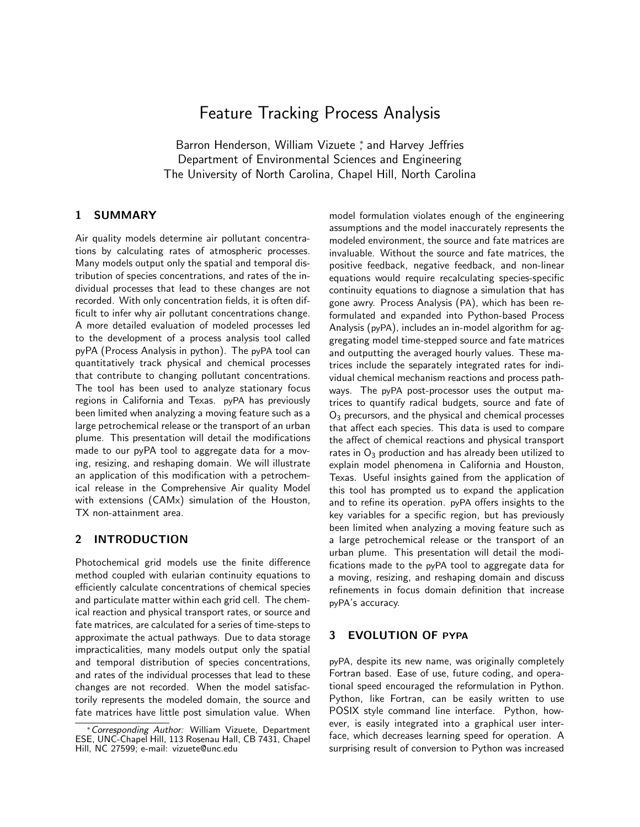# Feature Tracking Process Analysis

Barron Henderson, William Vizuete,\* and Harvey Jeffries Department of Environmental Sciences and Engineering The University of North Carolina, Chapel Hill, North Carolina

## 1 SUMMARY

Air quality models determine air pollutant concentrations by calculating rates of atmospheric processes. Many models output only the spatial and temporal distribution of species concentrations, and rates of the individual processes that lead to these changes are not recorded. With only concentration fields, it is often difficult to infer why air pollutant concentrations change. A more detailed evaluation of modeled processes led to the development of a process analysis tool called pyPA (Process Analysis in python). The pyPA tool can quantitatively track physical and chemical processes that contribute to changing pollutant concentrations. The tool has been used to analyze stationary focus regions in California and Texas. pyPA has previously been limited when analyzing a moving feature such as a large petrochemical release or the transport of an urban plume. This presentation will detail the modifications made to our pyPA tool to aggregate data for a moving, resizing, and reshaping domain. We will illustrate an application of this modification with a petrochemical release in the Comprehensive Air quality Model with extensions (CAMx) simulation of the Houston, TX non-attainment area.

## 2 INTRODUCTION

Photochemical grid models use the finite difference method coupled with eularian continuity equations to efficiently calculate concentrations of chemical species and particulate matter within each grid cell. The chemical reaction and physical transport rates, or source and fate matrices, are calculated for a series of time-steps to approximate the actual pathways. Due to data storage impracticalities, many models output only the spatial and temporal distribution of species concentrations, and rates of the individual processes that lead to these changes are not recorded. When the model satisfactorily represents the modeled domain, the source and fate matrices have little post simulation value. When model formulation violates enough of the engineering assumptions and the model inaccurately represents the modeled environment, the source and fate matrices are invaluable. Without the source and fate matrices, the positive feedback, negative feedback, and non-linear equations would require recalculating species-specific continuity equations to diagnose a simulation that has gone awry. Process Analysis (PA), which has been reformulated and expanded into Python-based Process Analysis (pyPA), includes an in-model algorithm for aggregating model time-stepped source and fate matrices and outputting the averaged hourly values. These matrices include the separately integrated rates for individual chemical mechanism reactions and process pathways. The pyPA post-processor uses the output matrices to quantify radical budgets, source and fate of  $O_3$  precursors, and the physical and chemical processes that affect each species. This data is used to compare the affect of chemical reactions and physical transport rates in  $O_3$  production and has already been utilized to explain model phenomena in California and Houston, Texas. Useful insights gained from the application of this tool has prompted us to expand the application and to refine its operation. pyPA offers insights to the key variables for a specific region, but has previously been limited when analyzing a moving feature such as a large petrochemical release or the transport of an urban plume. This presentation will detail the modifications made to the pyPA tool to aggregate data for a moving, resizing, and reshaping domain and discuss refinements in focus domain definition that increase pyPA's accuracy.

## 3 EVOLUTION OF PYPA

pyPA, despite its new name, was originally completely Fortran based. Ease of use, future coding, and operational speed encouraged the reformulation in Python. Python, like Fortran, can be easily written to use POSIX style command line interface. Python, however, is easily integrated into a graphical user interface, which decreases learning speed for operation. A surprising result of conversion to Python was increased

<sup>∗</sup>Corresponding Author: William Vizuete, Department ESE, UNC-Chapel Hill, 113 Rosenau Hall, CB 7431, Chapel Hill, NC 27599; e-mail: vizuete@unc.edu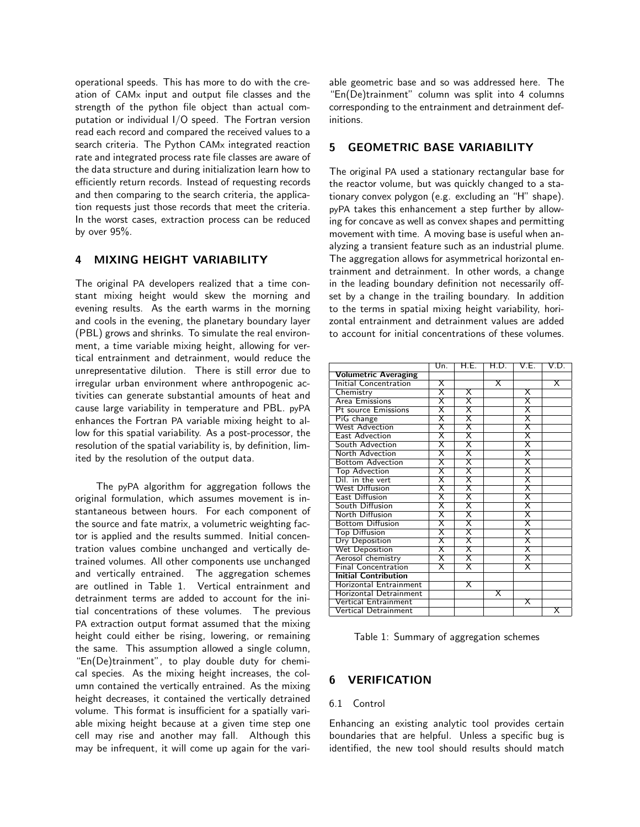operational speeds. This has more to do with the creation of CAMx input and output file classes and the strength of the python file object than actual computation or individual I/O speed. The Fortran version read each record and compared the received values to a search criteria. The Python CAMx integrated reaction rate and integrated process rate file classes are aware of the data structure and during initialization learn how to efficiently return records. Instead of requesting records and then comparing to the search criteria, the application requests just those records that meet the criteria. In the worst cases, extraction process can be reduced by over 95%.

## 4 MIXING HEIGHT VARIABILITY

The original PA developers realized that a time constant mixing height would skew the morning and evening results. As the earth warms in the morning and cools in the evening, the planetary boundary layer (PBL) grows and shrinks. To simulate the real environment, a time variable mixing height, allowing for vertical entrainment and detrainment, would reduce the unrepresentative dilution. There is still error due to irregular urban environment where anthropogenic activities can generate substantial amounts of heat and cause large variability in temperature and PBL. pyPA enhances the Fortran PA variable mixing height to allow for this spatial variability. As a post-processor, the resolution of the spatial variability is, by definition, limited by the resolution of the output data.

The pyPA algorithm for aggregation follows the original formulation, which assumes movement is instantaneous between hours. For each component of the source and fate matrix, a volumetric weighting factor is applied and the results summed. Initial concentration values combine unchanged and vertically detrained volumes. All other components use unchanged and vertically entrained. The aggregation schemes are outlined in Table 1. Vertical entrainment and detrainment terms are added to account for the initial concentrations of these volumes. The previous PA extraction output format assumed that the mixing height could either be rising, lowering, or remaining the same. This assumption allowed a single column, "En(De)trainment", to play double duty for chemical species. As the mixing height increases, the column contained the vertically entrained. As the mixing height decreases, it contained the vertically detrained volume. This format is insufficient for a spatially variable mixing height because at a given time step one cell may rise and another may fall. Although this may be infrequent, it will come up again for the variable geometric base and so was addressed here. The "En(De)trainment" column was split into 4 columns corresponding to the entrainment and detrainment definitions.

## 5 GEOMETRIC BASE VARIABILITY

The original PA used a stationary rectangular base for the reactor volume, but was quickly changed to a stationary convex polygon (e.g. excluding an "H" shape). pyPA takes this enhancement a step further by allowing for concave as well as convex shapes and permitting movement with time. A moving base is useful when analyzing a transient feature such as an industrial plume. The aggregation allows for asymmetrical horizontal entrainment and detrainment. In other words, a change in the leading boundary definition not necessarily offset by a change in the trailing boundary. In addition to the terms in spatial mixing height variability, horizontal entrainment and detrainment values are added to account for initial concentrations of these volumes.

|                               | Un.                     | H.E.                    | H.D.                    | V.E.                    | V.D.                    |
|-------------------------------|-------------------------|-------------------------|-------------------------|-------------------------|-------------------------|
| <b>Volumetric Averaging</b>   |                         |                         |                         |                         |                         |
| Initial Concentration         | $\overline{\mathsf{x}}$ |                         | $\overline{\mathsf{x}}$ |                         | $\overline{\mathsf{x}}$ |
| Chemistry                     | Χ                       | Χ                       |                         | Χ                       |                         |
| Area Emissions                | Χ                       | $\overline{\mathsf{x}}$ |                         | $\overline{\mathsf{x}}$ |                         |
| <b>Pt source Emissions</b>    | $\overline{\mathsf{X}}$ | $\overline{\mathsf{x}}$ |                         | $\overline{\mathsf{x}}$ |                         |
| PiG change                    | Χ                       | $\overline{\mathsf{X}}$ |                         | $\overline{\mathsf{x}}$ |                         |
| <b>West Advection</b>         | Χ                       | $\overline{\mathsf{x}}$ |                         | $\overline{\mathsf{x}}$ |                         |
| <b>East Advection</b>         | $\overline{\mathsf{x}}$ | $\overline{\mathsf{x}}$ |                         | $\overline{\mathsf{x}}$ |                         |
| South Advection               | Χ                       | $\overline{\mathsf{x}}$ |                         | $\overline{\mathsf{x}}$ |                         |
| North Advection               | X                       | $\overline{\mathsf{x}}$ |                         | Χ                       |                         |
| <b>Bottom Advection</b>       | $\mathsf x$             | $\overline{\mathsf{x}}$ |                         | $\overline{\mathsf{x}}$ |                         |
| <b>Top Advection</b>          | $\mathsf x$             | $\overline{\mathsf{x}}$ |                         | $\overline{\mathsf{x}}$ |                         |
| Dil. in the vert              | Χ                       | $\overline{\mathsf{x}}$ |                         | Χ                       |                         |
| West Diffusion                | $\overline{\mathsf{x}}$ | $\overline{\mathsf{x}}$ |                         | $\overline{\mathsf{x}}$ |                         |
| <b>East Diffusion</b>         | $\overline{\mathsf{x}}$ | $\overline{\mathsf{x}}$ |                         | $\overline{\mathsf{x}}$ |                         |
| South Diffusion               | Χ                       | $\overline{\mathsf{X}}$ |                         | $\overline{\mathsf{x}}$ |                         |
| North Diffusion               | $\overline{\mathsf{x}}$ | $\overline{\mathsf{x}}$ |                         | $\overline{\mathsf{x}}$ |                         |
| <b>Bottom Diffusion</b>       | $\mathsf X$             | $\overline{\mathsf{x}}$ |                         | $\overline{\mathsf{x}}$ |                         |
| Top Diffusion                 | Х                       | Χ                       |                         | X                       |                         |
| <b>Dry Deposition</b>         | $\overline{\mathsf{x}}$ | $\overline{\mathsf{X}}$ |                         | $\overline{\mathsf{x}}$ |                         |
| <b>Wet Deposition</b>         | $\mathsf{\overline{X}}$ | $\overline{\mathsf{x}}$ |                         | $\overline{\mathsf{x}}$ |                         |
| Aerosol chemistry             | Χ                       | Χ                       |                         | Χ                       |                         |
| <b>Final Concentration</b>    | $\mathsf x$             | $\overline{\mathsf{x}}$ |                         | $\overline{\mathsf{x}}$ |                         |
| <b>Initial Contribution</b>   |                         |                         |                         |                         |                         |
| Horizontal Entrainment        |                         | Χ                       |                         |                         |                         |
| <b>Horizontal Detrainment</b> |                         |                         | $\mathsf x$             |                         |                         |
| Vertical Entrainment          |                         |                         |                         | $\overline{\mathsf{x}}$ |                         |
| Vertical Detrainment          |                         |                         |                         |                         | х                       |

Table 1: Summary of aggregation schemes

## 6 VERIFICATION

#### 6.1 Control

Enhancing an existing analytic tool provides certain boundaries that are helpful. Unless a specific bug is identified, the new tool should results should match